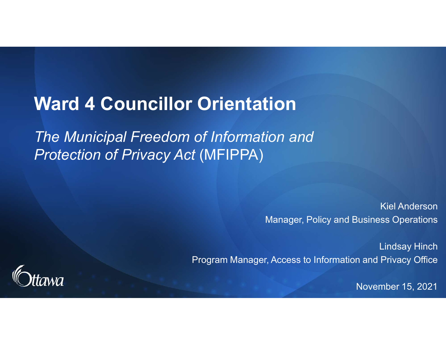# Ward 4 Councillor Orientation

The Municipal Freedom of Information and Protection of Privacy Act (MFIPPA)

> Kiel Anderson Manager, Policy and Business Operations

Lindsay Hinch Program Manager, Access to Information and Privacy Office



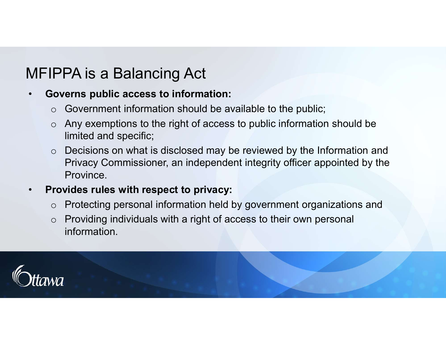# MFIPPA is a Balancing Act

### • Governs public access to information:

- Government information should be available to the public;
- o Any exemptions to the right of access to public information should be limited and specific;
- o Decisions on what is disclosed may be reviewed by the Information and Privacy Commissioner, an independent integrity officer appointed by the **Province**

### • Provides rules with respect to privacy:

- o Protecting personal information held by government organizations and
- Providing individuals with a right of access to their own personal information.

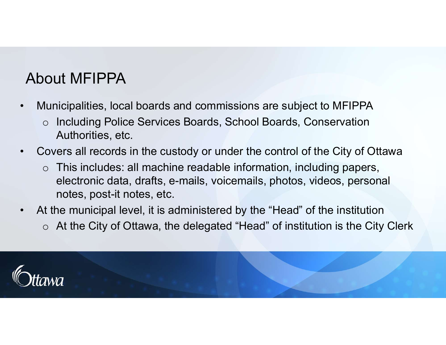# About MFIPPA

- 
- About MFIPPA<br>• Municipalities, local boards and commissions are subject to MFIPPA<br>• Including Police Services Boards, School Boards, Conservation<br>Authorities, etc. o Including Police Services Boards, School Boards, Conservation Authorities, etc.
- 
- Municipalities, local boards and commissions are subject to MFIPPA<br>
 Municipalities, local boards and commissions are subject to MFIPPA<br>
 Including Police Services Boards, School Boards, Conservation<br>
 Authorities, e  $\circ$  This includes: all machine readable information, including papers, electronic data, drafts, e-mails, voicemails, photos, videos, personal notes, post-it notes, etc. About MFIPPA<br>• Municipalities, local boards and commissions are subject to MFIPPA<br>
• Including Police Services Boards, School Boards, Conservation<br>
• Authorities, etc.<br>
• Covers all records in the custody or under the co
- o At the City of Ottawa, the delegated "Head" of institution is the City Clerk

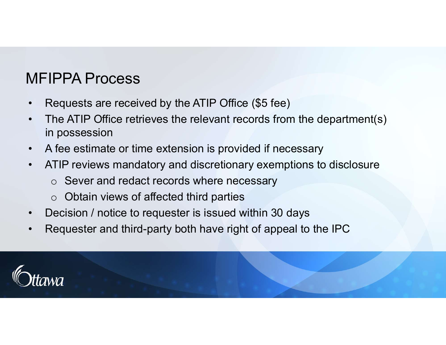# MFIPPA Process

- 
- **MFIPPA Process**<br>• Requests are received by the ATIP Office (\$5 fee)<br>• The ATIP Office retrieves the relevant records from the depart<br>in possession **HEIPPA Process**<br>• Requests are received by the ATIP Office (\$5 fee)<br>• The ATIP Office retrieves the relevant records from the department(s)<br>• A fee estimate or time extension is provided if necessary in possession • MFIPPA Process<br>• Requests are received by the ATIP Office (\$5 fee)<br>• The ATIP Office retrieves the relevant records from the department(s)<br>• A fee estimate or time extension is provided if necessary<br>• ATIP reviews manda **SET ATT PRA Process**<br>• Requests are received by the ATIP Office (\$5 fee)<br>• The ATIP Office retrieves the relevant records from the department(s)<br>• A fee estimate or time extension is provided if necessary<br>• ATIP reviews • Requests are received by the ATIP Office (\$5 fee)<br>• The ATIP Office retrieves the relevant records from the department(s)<br>• The ATIP Office retrieves the relevant records from the department(s)<br>• A fee estimate or time • Requests are received by the ATIP Office (\$5 fee)<br>• The ATIP Office retrieves the relevant records from the department(s)<br>in possession<br>• A fee estimate or time extension is provided if necessary<br>• ATIP reviews mandatory
- 
- - o Sever and redact records where necessary
	- $\circ$  Obtain views of affected third parties
- 
- 

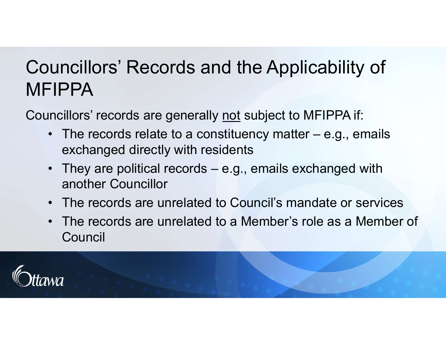# Councillors' Records and the Applicability of<br>MFIPPA<br>Councillors' records are generally <u>not</u> subject to MFIPPA if:<br>• The records relate to a constituency matter – e.g., emails<br>exchanged directly with residents **uncillors' Records and the Applicability of<br>
FIPPA**<br>
IPPA<br>
• The records relate to a constituency matter – e.g., emails<br>
• They are political records – e.g., emails exchanged with<br>
• They are political records – e.g., em **uncillors' Records and the Applicability of**<br> **FIPPA**<br>
Incillors' records are generally <u>not</u> subject to MFIPPA if:<br>
• The records relate to a constituency matter – e.g., emails<br>
• They are political records – e.g., emai • Uncellors' Records and the Applicability of<br>
• FIPPA<br>
• mcillors' records are generally <u>not</u> subject to MFIPPA if:<br>
• The records relate to a constituency matter – e.g., emails<br>
• xchanged directly with residents<br>
• Th Councillors' Records and the Applicability of MFIPPA

- exchanged directly with residents
- another Councillor
- 
- The records are generally <u>not</u> subject to MFIPPA if:<br>
 The records relate to a constituency matter e.g., emails<br>
 They are political records e.g., emails exchanged with<br>
 They are political records e.g., email **Council**

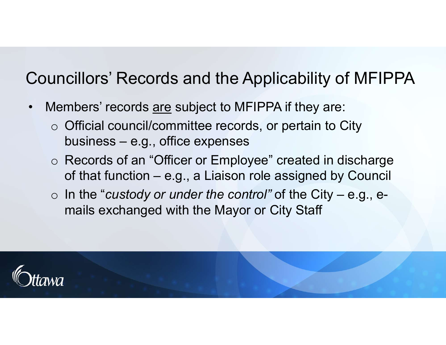# Councillors' Records and the Applicability of MFIPPA

- 
- –<br>Councillors' Records and the Applicability of MFIP<br>• Members' records <u>are</u> subject to MFIPPA if they are:<br>○ Official council/committee records, or pertain to City<br>business e.g., office expenses o Official council/committee records, or pertain to City cillors' Records and the Applicability<br>mbers' records <u>are</u> subject to MFIPPA if they are<br>Official council/committee records, or pertain to<br>business – e.g., office expenses<br>Records of an "Officer or Employee" created in<br>of
	- o Records of an "Officer or Employee" created in discharge cillors' Records and the Applicability of MFIPPA<br>mbers' records <u>are</u> subject to MFIPPA if they are:<br>Official council/committee records, or pertain to City<br>business – e.g., office expenses<br>Records of an "Officer or Employ uncillors' Records and the Applicability of MFIPPA<br>
	Members' records <u>are</u> subject to MFIPPA if they are:<br>  $\circ$  Official council/committee records, or pertain to City<br>
	business – e.g., office expenses<br>  $\circ$  Records of an
	- mails exchanged with the Mayor or City Staff

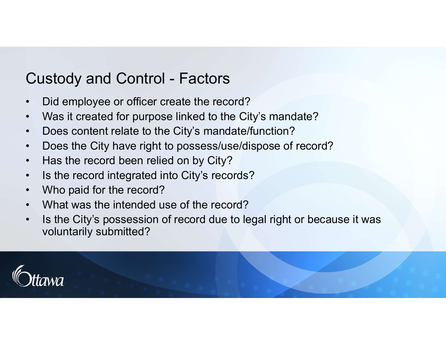# Custody and Control - Factors<br>• Did employee or officer create the record?<br>• Was it created for purpose linked to the City's mandate?

- 
- Custody and Control Factors<br>• Did employee or officer create the record?<br>• Was it created for purpose linked to the City's mandate?<br>• Does content relate to the City's mandate/function?
- 
- Custody and Control Factors<br>• Did employee or officer create the record?<br>• Was it created for purpose linked to the City's mandate?<br>• Does content relate to the City's mandate/function?<br>• Does the City have right to p • Custody and Control - Factors<br>• Did employee or officer create the record?<br>• Was it created for purpose linked to the City's mandate?<br>• Does content relate to the City's mandate/function?<br>• Has the record been relied on Custody and Control - Factors<br>• Did employee or officer create the record?<br>• Was it created for purpose linked to the City's mandate?<br>• Does content relate to the City's mandate/function?<br>• Does the City have right to poss Custody and Control - Factors<br>• Did employee or officer create the record?<br>• Was it created for purpose linked to the City's mandate?<br>• Does content relate to the City's mandate/function?<br>• Does the City have right to poss Custody and Control - Factors<br>• Did employee or officer create the record?<br>• Was it created for purpose linked to the City's mandate?<br>• Does content relate to the City's mandate/function?<br>• Does the City have right to poss
- 
- 
- 
- 
- Custody and Control Factors<br>• Did employee or officer create the record?<br>• Was it created for purpose linked to the City's<br>• Does content relate to the City's mandate/fur<br>• Does the City have right to possess/use/disp<br>• Custody and Control - Factors<br>
• Did employee or officer create the record?<br>
• Was it created for purpose linked to the City's mandate?<br>
• Does content relate to the City's mandate/function?<br>
• Does the City have right to **• Custody and Control - Factors**<br>
• Did employee or officer create the record?<br>
• Was it created for purpose linked to the City's mandate?<br>
• Does content relate to the City's mandate/function?<br>
• Does the City have righ voluntarily submitted?

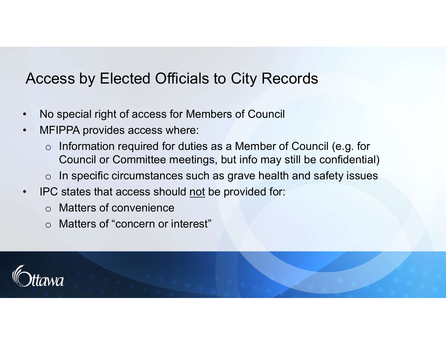# • Access by Elected Officials to City Records<br>• No special right of access for Members of Council<br>• MFIPPA provides access where:<br>• Information required for duties as a Member of Counc Access by Elected Officials to City Records

- 
- 
- Access by Elected Officials to Cit<br>• No special right of access for Members of<br>• MFIPPA provides access where:<br>• Information required for duties as a Me<br>Council or Committee meetings, but in o Information required for duties as a Member of Council (e.g. for Council or Committee meetings, but info may still be confidential) Access by Elected Officials to City Records<br>
• No special right of access for Members of Council<br>
• MFIPPA provides access where:<br>
○ Information required for duties as a Member of Council (e.g. for<br>
○ Council or Committee
	- $\circ$  In specific circumstances such as grave health and safety issues
- - o Matters of convenience
	- o Matters of "concern or interest"

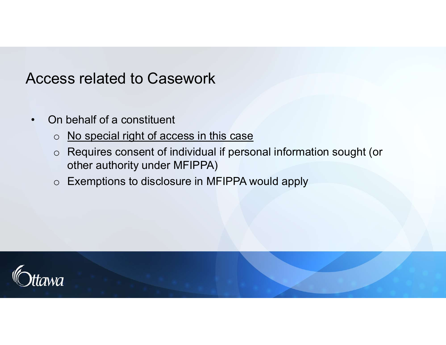# Access related to Casework<br>• On behalf of a constituent<br>• On behalf of a constituent<br>• Requires consent of individual if p Access related to Casework

- - o No special right of access in this case
	- o Requires consent of individual if personal information sought (or other authority under MFIPPA)
	- o Exemptions to disclosure in MFIPPA would apply

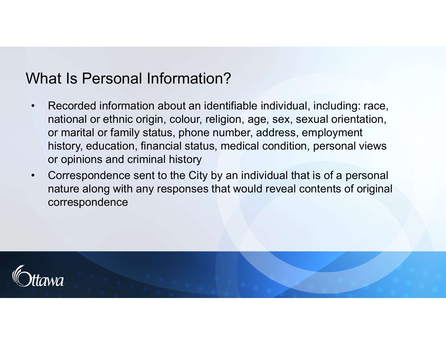## What Is Personal Information?

- what Is Personal Information?<br>• Recorded information about an identifiable individual, including: race,<br>national or ethnic origin, colour, religion, age, sex, sexual orientation,<br>or marital or family status, phone number, national or ethnic origin, colour, religion, age, sex, sexual orientation, or marital or family status, phone number, address, employment history, education, financial status, medical condition, personal views or opinions and criminal history **Vhat Is Personal Information?**<br>• Recorded information about an identifiable individual, including: race, national or ethnic origin, colour, religion, age, sex, sexual orientation, or marital or family status, phone number
- nature along with any responses that would reveal contents of original correspondence

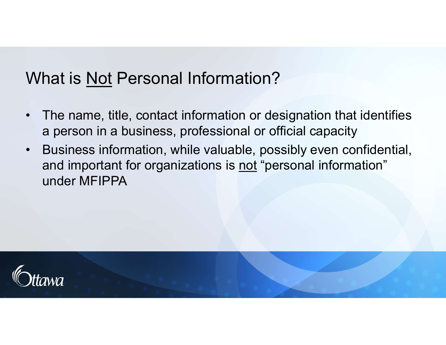# What is <u>Not</u> Personal Information?<br>• The name, title, contact information or design

- what is <u>Not</u> Personal Information?<br>• The name, title, contact information or designation that identifies<br>• Business information, while valuable, possibly even confidential. a person in a business, professional or official capacity
- What is <u>Not</u> Personal Information?<br>• The name, title, contact information or designation that identifies<br>a person in a business, professional or official capacity<br>• Business information, while valuable, possibly even conf hat is <u>Not</u> Personal Information?<br>The name, title, contact information or designation that identifies<br>a person in a business, professional or official capacity<br>Business information, while valuable, possibly even confident under MFIPPA

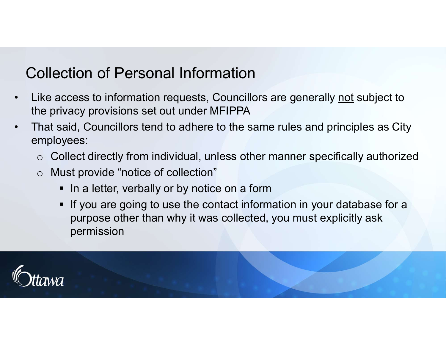## Collection of Personal Information

- Collection of Personal Information<br>• Like access to information requests, Councillors are generally <u>not</u> subject to<br>• That said, Councillors tend to adhere to the same rules and principles as City<br>• the privacy provisions set out under MFIPPA
- Collection of Personal Information<br>• Like access to information requests, Councillors are generally <u>not</u> subject to<br>• That said, Councillors tend to adhere to the same rules and principles as City<br>• employees:<br>• Collec employees:
	- $\circ$  Collect directly from individual, unless other manner specifically authorized
	- o Must provide "notice of collection"
		- In a letter, verbally or by notice on a form
		- **If you are going to use the contact information in your database for a** purpose other than why it was collected, you must explicitly ask permission

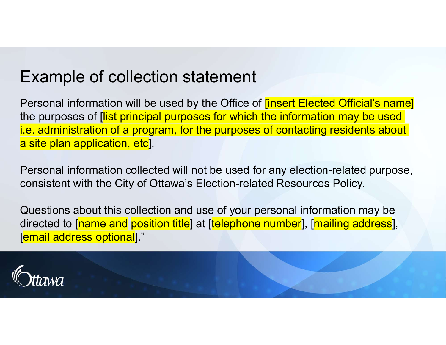# Example of collection statement

Personal information will be used by the Office of **[insert Elected Official's name]** the purposes of *[list principal purposes for which the information may be used* i.e. administration of a program, for the purposes of contacting residents about a site plan application, etc. LACTIT DIFE OF CONECTION TRACTITENT<br>Personal information will be used by the Office of *[insert Elected Official's name]*<br>the purposes of *[list principal purposes for which the information may be used*<br>i.e. administration

Personal information collected will not be used for any election-related purpose, consistent with the City of Ottawa's Election-related Resources Policy.

Questions about this collection and use of your personal information may be [email address optional]."